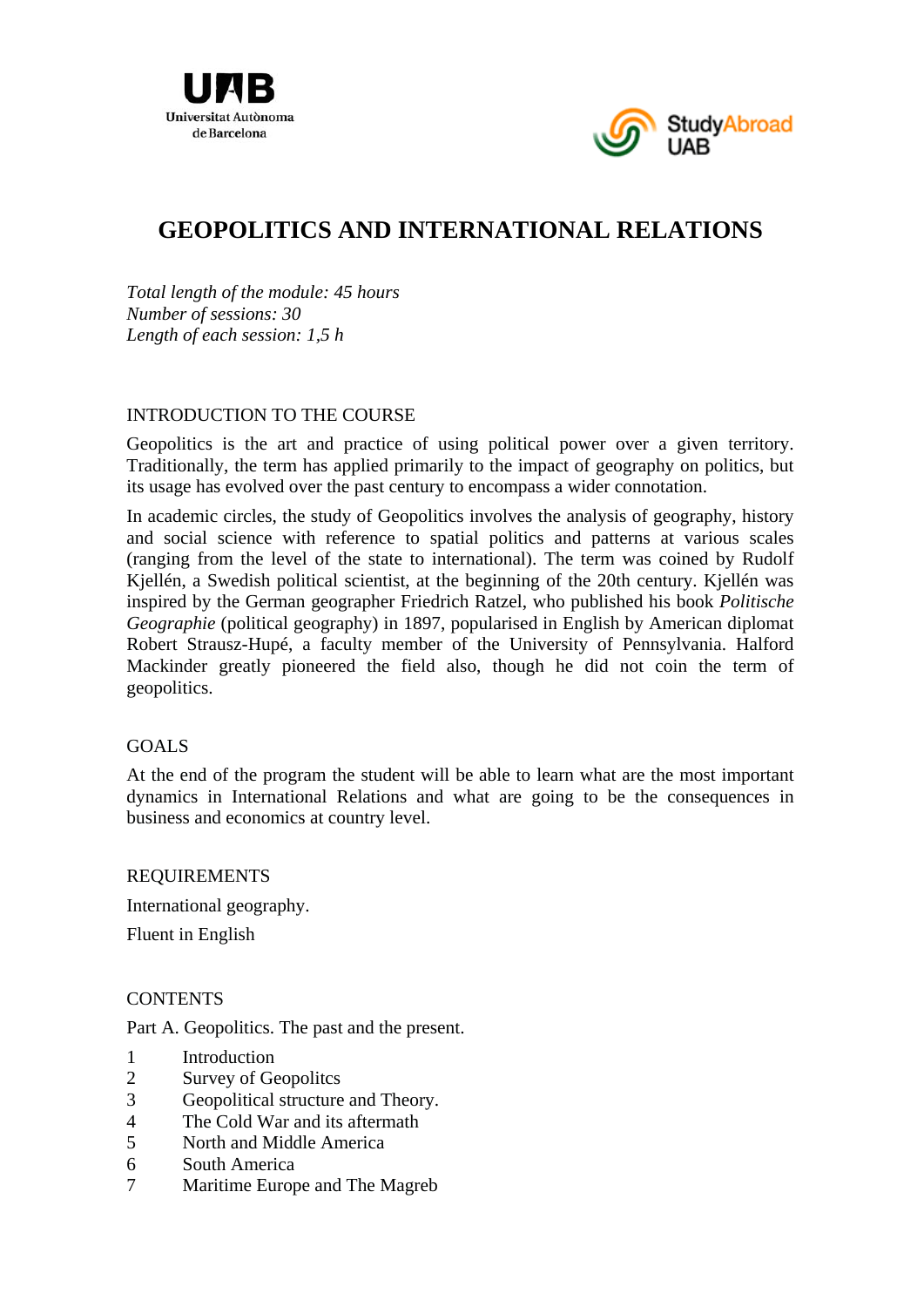



# **GEOPOLITICS AND INTERNATIONAL RELATIONS**

*Total length of the module: 45 hours Number of sessions: 30 Length of each session: 1,5 h* 

#### INTRODUCTION TO THE COURSE

Geopolitics is the art and practice of using political power over a given territory. Traditionally, the term has applied primarily to the impact of geography on politics, but its usage has evolved over the past century to encompass a wider connotation.

In academic circles, the study of Geopolitics involves the analysis of geography, history and social science with reference to spatial politics and patterns at various scales (ranging from the level of the state to international). The term was coined by Rudolf Kjellén, a Swedish political scientist, at the beginning of the 20th century. Kjellén was inspired by the German geographer Friedrich Ratzel, who published his book *Politische Geographie* (political geography) in 1897, popularised in English by American diplomat Robert Strausz-Hupé, a faculty member of the University of Pennsylvania. Halford Mackinder greatly pioneered the field also, though he did not coin the term of geopolitics.

#### GOALS

At the end of the program the student will be able to learn what are the most important dynamics in International Relations and what are going to be the consequences in business and economics at country level.

#### REQUIREMENTS

International geography.

Fluent in English

## **CONTENTS**

Part A. Geopolitics. The past and the present.

- 1 Introduction
- 2 Survey of Geopolitcs
- 3 Geopolitical structure and Theory.
- 4 The Cold War and its aftermath
- 5 North and Middle America
- 6 South America
- 7 Maritime Europe and The Magreb